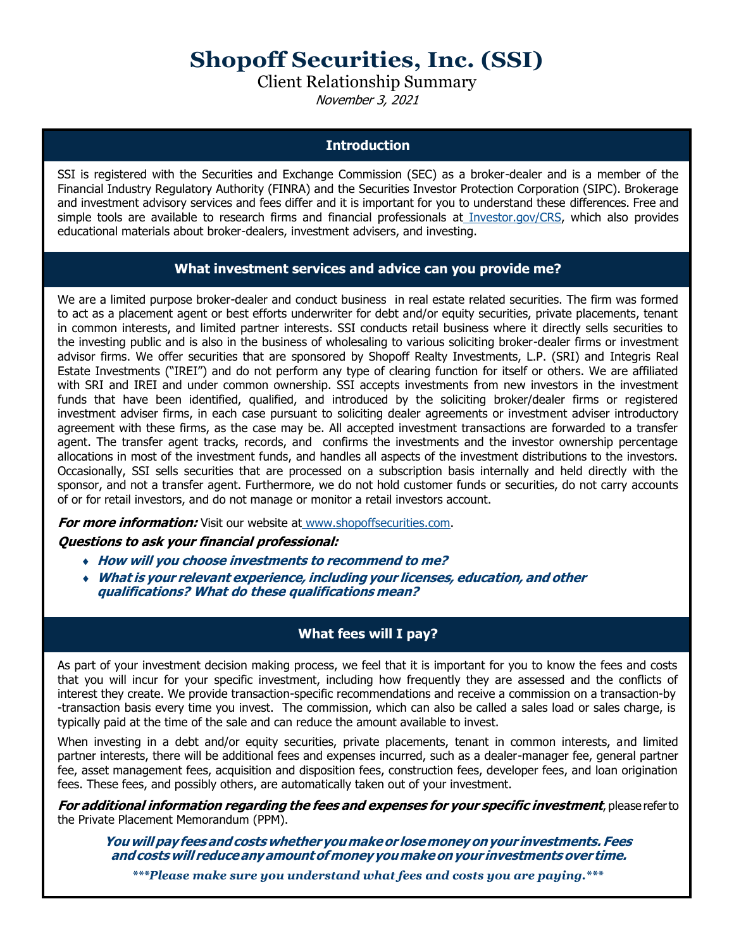# **Shopoff Securities, Inc. (SSI)**

Client Relationship Summary

November 3, 2021

# **Introduction**

SSI is registered with the Securities and Exchange Commission (SEC) as a broker-dealer and is a member of the Financial Industry Regulatory Authority (FINRA) and the Securities Investor Protection Corporation (SIPC). Brokerage and investment advisory services and fees differ and it is important for you to understand these differences. Free and simple tools are available to research firms and financial professionals at [Investor.gov/CRS, w](http://www.investor.gov/CRS)hich also provides educational materials about broker-dealers, investment advisers, and investing.

# **What investment services and advice can you provide me?**

We are a limited purpose broker-dealer and conduct business in real estate related securities. The firm was formed to act as a placement agent or best efforts underwriter for debt and/or equity securities, private placements, tenant in common interests, and limited partner interests. SSI conducts retail business where it directly sells securities to the investing public and is also in the business of wholesaling to various soliciting broker-dealer firms or investment advisor firms. We offer securities that are sponsored by Shopoff Realty Investments, L.P. (SRI) and Integris Real Estate Investments ("IREI") and do not perform any type of clearing function for itself or others. We are affiliated with SRI and IREI and under common ownership. SSI accepts investments from new investors in the investment funds that have been identified, qualified, and introduced by the soliciting broker/dealer firms or registered investment adviser firms, in each case pursuant to soliciting dealer agreements or investment adviser introductory agreement with these firms, as the case may be. All accepted investment transactions are forwarded to a transfer agent. The transfer agent tracks, records, and confirms the investments and the investor ownership percentage allocations in most of the investment funds, and handles all aspects of the investment distributions to the investors. Occasionally, SSI sells securities that are processed on a subscription basis internally and held directly with the sponsor, and not a transfer agent. Furthermore, we do not hold customer funds or securities, do not carry accounts of or for retail investors, and do not manage or monitor a retail investors account.

**For more information:** Visit our website at [www.shopoffsecurities.com.](http://www.shopoffsecurities.com/)

#### **Questions to ask your financial professional:**

- **How will you choose investments to recommend to me?**
- **What is your relevant experience, including your licenses, education, and other qualifications? What do these qualifications mean?**

# **What fees will I pay?**

As part of your investment decision making process, we feel that it is important for you to know the fees and costs that you will incur for your specific investment, including how frequently they are assessed and the conflicts of interest they create. We provide transaction-specific recommendations and receive a commission on a transaction-by -transaction basis every time you invest. The commission, which can also be called a sales load or sales charge, is typically paid at the time of the sale and can reduce the amount available to invest.

When investing in a debt and/or equity securities, private placements, tenant in common interests, and limited partner interests, there will be additional fees and expenses incurred, such as a dealer-manager fee, general partner fee, asset management fees, acquisition and disposition fees, construction fees, developer fees, and loan origination fees. These fees, and possibly others, are automatically taken out of your investment.

**For additional information regarding the fees and expenses for your specific investment**, pleasereferto the Private Placement Memorandum (PPM).

**Youwillpay feesandcosts whetheryoumakeor losemoneyonyour investments. Fees andcostswill reduceanyamountofmoney youmakeonyour investmentsover time.**

*\*\*\*Please make sure you understand what fees and costs you are paying.\*\*\**